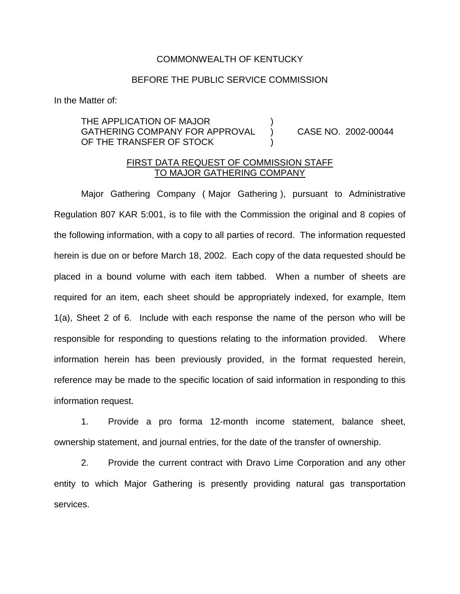## COMMONWEALTH OF KENTUCKY

## BEFORE THE PUBLIC SERVICE COMMISSION

In the Matter of:

THE APPLICATION OF MAJOR ) GATHERING COMPANY FOR APPROVAL ) CASE NO. 2002-00044 OF THE TRANSFER OF STOCK

## FIRST DATA REQUEST OF COMMISSION STAFF TO MAJOR GATHERING COMPANY

Major Gathering Company ( Major Gathering ), pursuant to Administrative Regulation 807 KAR 5:001, is to file with the Commission the original and 8 copies of the following information, with a copy to all parties of record. The information requested herein is due on or before March 18, 2002. Each copy of the data requested should be placed in a bound volume with each item tabbed. When a number of sheets are required for an item, each sheet should be appropriately indexed, for example, Item 1(a), Sheet 2 of 6. Include with each response the name of the person who will be responsible for responding to questions relating to the information provided. Where information herein has been previously provided, in the format requested herein, reference may be made to the specific location of said information in responding to this information request.

1. Provide a pro forma 12-month income statement, balance sheet, ownership statement, and journal entries, for the date of the transfer of ownership.

2. Provide the current contract with Dravo Lime Corporation and any other entity to which Major Gathering is presently providing natural gas transportation services.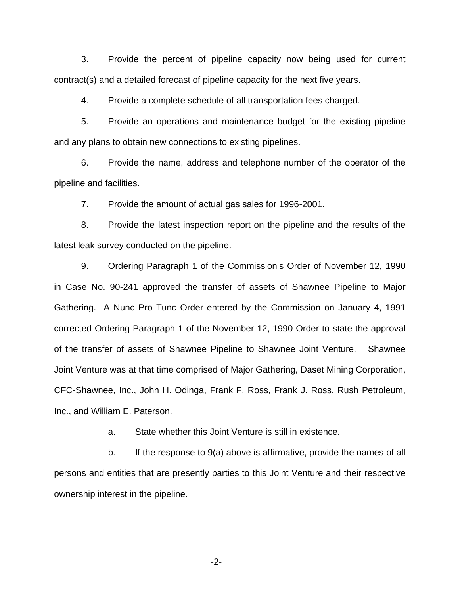3. Provide the percent of pipeline capacity now being used for current contract(s) and a detailed forecast of pipeline capacity for the next five years.

4. Provide a complete schedule of all transportation fees charged.

5. Provide an operations and maintenance budget for the existing pipeline and any plans to obtain new connections to existing pipelines.

6. Provide the name, address and telephone number of the operator of the pipeline and facilities.

7. Provide the amount of actual gas sales for 1996-2001.

8. Provide the latest inspection report on the pipeline and the results of the latest leak survey conducted on the pipeline.

9. Ordering Paragraph 1 of the Commission s Order of November 12, 1990 in Case No. 90-241 approved the transfer of assets of Shawnee Pipeline to Major Gathering. A Nunc Pro Tunc Order entered by the Commission on January 4, 1991 corrected Ordering Paragraph 1 of the November 12, 1990 Order to state the approval of the transfer of assets of Shawnee Pipeline to Shawnee Joint Venture. Shawnee Joint Venture was at that time comprised of Major Gathering, Daset Mining Corporation, CFC-Shawnee, Inc., John H. Odinga, Frank F. Ross, Frank J. Ross, Rush Petroleum, Inc., and William E. Paterson.

a. State whether this Joint Venture is still in existence.

b. If the response to 9(a) above is affirmative, provide the names of all persons and entities that are presently parties to this Joint Venture and their respective ownership interest in the pipeline.

-2-